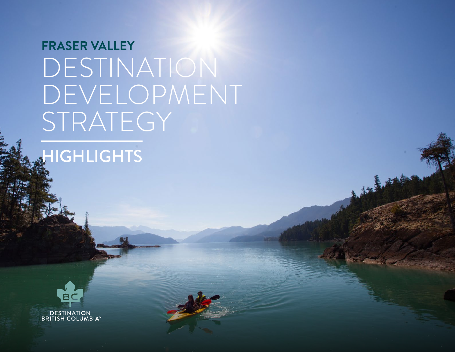### **FRASER VALLEY** DESTINATION DEVELOPMENT STRATEGY

### **HIGHLIGHTS**

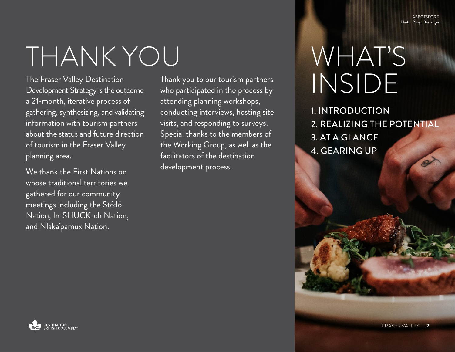**ARROTSFORD** Photo: Robyn Bessenge

### THANK YOU

The Fraser Valley Destination Development Strategy is the outcome a 21-month, iterative process of gathering, synthesizing, and validating information with tourism partners about the status and future direction of tourism in the Fraser Valley planning area.

We thank the First Nations on whose traditional territories we gathered for our community meetings including the Stó:lō Nation, In-SHUCK-ch Nation, and Nlaka'pamux Nation.

Thank you to our tourism partners who participated in the process by attending planning workshops, conducting interviews, hosting site visits, and responding to surveys. Special thanks to the members of the Working Group, as well as the facilitators of the destination development process.

### WHAT'S INSIDE

1. INTRODUCTION 2. REALIZING THE POTENTIAL 3. AT A GLANCE 4. GEARING UP



FRASER VALLEY | 2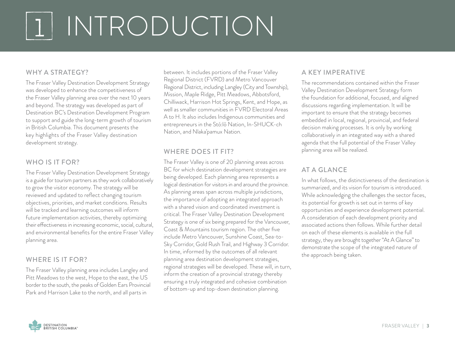# <sup>1</sup> INTRODUCTION

#### WHY A STRATEGY?

The Fraser Valley Destination Development Strategy was developed to enhance the competitiveness of the Fraser Valley planning area over the next 10 years and beyond. The strategy was developed as part of Destination BC's Destination Development Program to support and guide the long-term growth of tourism in British Columbia. This document presents the key highlights of the Fraser Valley destination development strategy.

#### WHO IS IT FOR?

The Fraser Valley Destination Development Strategy is a guide for tourism partners as they work collaboratively to grow the visitor economy. The strategy will be reviewed and updated to reflect changing tourism objectives, priorities, and market conditions. Results will be tracked and learning outcomes will inform future implementation activities, thereby optimizing their effectiveness in increasing economic, social, cultural, and environmental benefits for the entire Fraser Valley planning area.

#### WHERE IS IT FOR?

The Fraser Valley planning area includes Langley and Pitt Meadows to the west, Hope to the east, the US border to the south, the peaks of Golden Ears Provincial Park and Harrison Lake to the north, and all parts in

between. It includes portions of the Fraser Valley Regional District (FVRD) and Metro Vancouver Regional District, including Langley (City and Township), Mission, Maple Ridge, Pitt Meadows, Abbotsford, Chilliwack, Harrison Hot Springs, Kent, and Hope, as well as smaller communities in FVRD Electoral Areas A to H. It also includes Indigenous communities and entrepreneurs in the Stó:lō Nation, In-SHUCK-ch Nation, and Nlaka'pamux Nation.

#### WHERE DOES IT FIT?

The Fraser Valley is one of 20 planning areas across BC for which destination development strategies are being developed. Each planning area represents a logical destination for visitors in and around the province. As planning areas span across multiple jurisdictions, the importance of adopting an integrated approach with a shared vision and coordinated investment is critical. The Fraser Valley Destination Development Strategy is one of six being prepared for the Vancouver, Coast & Mountains tourism region. The other five include Metro Vancouver, Sunshine Coast, Sea-to-Sky Corridor, Gold Rush Trail, and Highway 3 Corridor. In time, informed by the outcomes of all relevant planning area destination development strategies, regional strategies will be developed. These will, in turn, inform the creation of a provincial strategy thereby ensuring a truly integrated and cohesive combination of bottom-up and top-down destination planning.

#### A KEY IMPERATIVE

The recommendations contained within the Fraser Valley Destination Development Strategy form the foundation for additional, focused, and aligned discussions regarding implementation. It will be important to ensure that the strategy becomes embedded in local, regional, provincial, and federal decision making processes. It is only by working collaboratively in an integrated way with a shared agenda that the full potential of the Fraser Valley planning area will be realized.

#### AT A GLANCE

In what follows, the distinctiveness of the destination is summarized, and its vision for tourism is introduced. While acknowledging the challenges the sector faces, its potential for growth is set out in terms of key opportunities and experience development potential. A consideration of each development priority and associated actions then follows. While further detail on each of these elements is available in the full strategy, they are brought together "At A Glance" to demonstrate the scope of the integrated nature of the approach being taken.

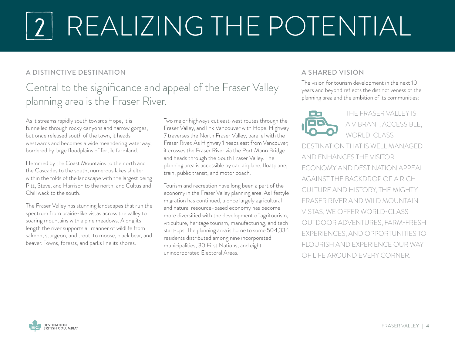## <sup>2</sup> REALIZING THE POTENTIAL

#### A DISTINCTIVE DESTINATION

### Central to the significance and appeal of the Fraser Valley planning area is the Fraser River.

As it streams rapidly south towards Hope, it is funnelled through rocky canyons and narrow gorges, but once released south of the town, it heads westwards and becomes a wide meandering waterway, bordered by large floodplains of fertile farmland.

Hemmed by the Coast Mountains to the north and the Cascades to the south, numerous lakes shelter within the folds of the landscape with the largest being Pitt, Stave, and Harrison to the north, and Cultus and Chilliwack to the south.

The Fraser Valley has stunning landscapes that run the spectrum from prairie-like vistas across the valley to soaring mountains with alpine meadows. Along its length the river supports all manner of wildlife from salmon, sturgeon, and trout, to moose, black bear, and beaver. Towns, forests, and parks line its shores.

Two major highways cut east-west routes through the Fraser Valley, and link Vancouver with Hope. Highway 7 traverses the North Fraser Valley, parallel with the Fraser River. As Highway 1 heads east from Vancouver, it crosses the Fraser River via the Port Mann Bridge and heads through the South Fraser Valley. The planning area is accessible by car, airplane, floatplane, train, public transit, and motor coach.

Tourism and recreation have long been a part of the economy in the Fraser Valley planning area. As lifestyle migration has continued, a once largely agricultural and natural resource-based economy has become more diversified with the development of agritourism, viticulture, heritage tourism, manufacturing, and tech start-ups. The planning area is home to some 504,334 residents distributed among nine incorporated municipalities, 30 First Nations, and eight unincorporated Electoral Areas.

#### A SHARED VISION

The vision for tourism development in the next 10 years and beyond reflects the distinctiveness of the planning area and the ambition of its communities:



THE FRASER VALLEY IS A VIBRANT, ACCESSIBLE, WORLD-CLASS

DESTINATION THAT IS WELL MANAGED AND ENHANCES THE VISITOR ECONOMY AND DESTINATION APPEAL. AGAINST THE BACKDROP OF A RICH CULTURE AND HISTORY, THE MIGHTY FRASER RIVER AND WILD MOUNTAIN VISTAS, WE OFFER WORLD-CLASS OUTDOOR ADVENTURES, FARM-FRESH EXPERIENCES, AND OPPORTUNITIES TO FLOURISH AND EXPERIENCE OUR WAY OF LIFE AROUND EVERY CORNER.

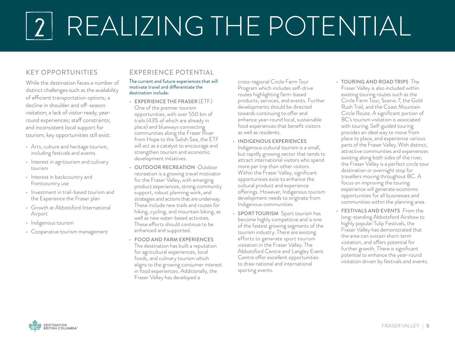# <sup>2</sup> REALIZING THE POTENTIAL

#### KEY OPPORTUNITIES

While the destination faces a number of distinct challenges such as the availability of efficient transportation options; a decline in shoulder and off-season visitation; a lack of visitor-ready, yearround experiences; staff constraints; and inconsistent local support for tourism; key opportuniities still exist:

- Arts, culture and heritage tourism, including festivals and events
- Interest in agritourism and culinary tourism
- Interest in backcountry and frontcountry use
- Investment in trail-based tourism and the Experience the Fraser plan
- Growth at Abbotsford International Airport
- Indigenous tourism
- Cooperative tourism management

#### EXPERIENCE POTENTIAL

#### The current and future experiences that will motivate travel and differentiate the destination include:

- EXPERIENCE THE FRASER (ETF) One of the premier tourism opportunities, with over 550 km of trails (43% of which are already in place) and blueways connecting communities along the Fraser River from Hope to the Salish Sea, the ETF will act as a catalyst to encourage and strengthen tourism and economic development initiatives.
- OUTDOOR RECREATION Outdoor recreation is a growing travel motivator for the Fraser Valley, with emerging product experiences, strong community support, robust planning work, and strategies and actions that are underway. These include new trails and routes for hiking, cycling, and mountain biking, as well as new water-based activities. These efforts should continue to be enhanced and supported.
- FOOD AND FARM EXPERIENCES The destination has built a reputation for agricultural experiences, local foods, and culinary tourism which aligns to the growing consumer interest in food experiences. Additionally, the Fraser Valley has developed a

cross-regional Circle Farm Tour Program which includes self-drive routes highlighting farm-based products, services, and events. Further developments should be directed towards continuing to offer and enhance year-round local, sustainable food experiences that benefit visitors as well as residents.

- INDIGENOUS EXPERIENCES Indigenous cultural tourism is a small, but rapidly growing sector that tends to attract international visitors who spend more per trip than other visitors. Within the Fraser Valley, significant opportunities exist to enhance the cultural product and experience offerings. However, Indigenous tourism development needs to originate from Indigenous communities.
- SPORT TOURISM Sport tourism has become highly competitive and is one of the fastest growing segments of the tourism industry. There are existing efforts to generate sport tourism visitation in the Fraser Valley. The Abbotsford Centre and Langley Event Centre offer excellent opportunities to draw national and international sporting events.
- TOURING AND ROAD TRIPS The Fraser Valley is also included within existing touring routes such as the Circle Farm Tour, Scenic 7, the Gold Rush Trail, and the Coast Mountain Circle Route. A significant portion of BC's tourism visitation is associated with touring. Self-guided touring provides an ideal way to move from place to place, and experience various parts of the Fraser Valley. With distinct, attractive communities and experiences existing along both sides of the river, the Fraser Valley is a perfect circle tour destination or overnight stop for travellers moving throughout BC. A focus on improving the touring experience will generate economic opportunities for all businesses and communities within the planning area.
- FESTIVALS AND EVENTS From the long-standing Abbotsford Airshow to highly popular Tulip Festivals, the Fraser Valley has demonstrated that the area can sustain short-term visitation, and offers potential for further growth. There is significant potential to enhance the year-round visitation driven by festivals and events.

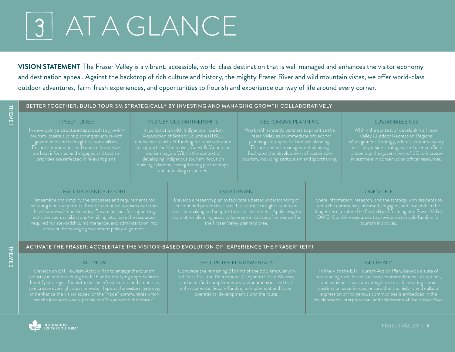### <sup>3</sup> AT A GLANCE

**VISION STATEMENT** The Fraser Valley is a vibrant, accessible, world-class destination that is well managed and enhances the visitor economy and destination appeal. Against the backdrop of rich culture and history, the mighty Fraser River and wild mountain vistas, we offer world-class outdoor adventures, farm-fresh experiences, and opportunities to flourish and experience our way of life around every corner.



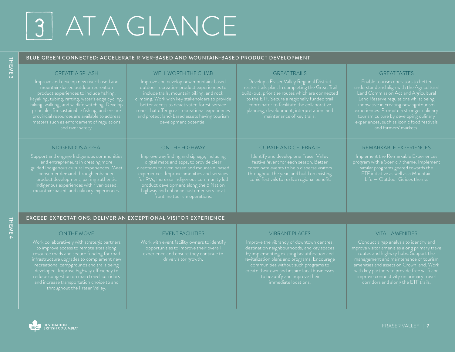### <sup>3</sup> AT A GLANCE

#### BLUE GREEN CONNECTED: ACCELERATE RIVER-BASED AND MOUNTAIN-BASED PRODUCT DEVELOPMENT

#### CREATE A SPLASH

Improve and develop new river-based and mountain-based outdoor recreation hiking, walking, and wildlife watching. Develop provincial resources are available to address and river safety.

#### INDIGENOUS APPEAL

Support and engage Indigenous communities product development, pairing authentic Indigenous experiences with river-based,

#### WELL WORTH THE CLIMB

Improve and develop new mountain-based roads that offer great recreational experiences

ON THE HIGHWAY

digital maps and apps, to provide clear directions to river-based and mountain-based

for RVs; increase Indigenous community led

#### GREAT TRAILS

master trails plan. In completing the Great Trail

#### GREAT TASTES

Enable tourism operators to better understand and align with the Agricultural innovative in creating new agritourism tourism culture by developing culinary

#### CURATE AND CELEBRATE

Identify and develop one Fraser Valley festival/event for each season. Better coordinate events to help disperse visitors

#### REMARKABLE EXPERIENCES

Implement the Remarkable Experiences program with a Scenic 7 theme. Implement Life — Outdoor Guides theme.

#### EXCEED EXPECTATIONS: DELIVER AN EXCEPTIONAL VISITOR EXPERIENCE

#### ON THE MOVE

to improve access to remote sites along resource roads and secure funding for road infrastructure upgrades to complement new recreational campgrounds and trails being developed. Improve highway efficiency to and increase transportation choice to and

#### EVENT FACILITIES

opportunities to improve their overall

#### VIBRANT PLACES

communities without such programs to create their own and inspire local businesses immediate locations.

#### VITAL AMENITIES

amenities and assets on Crown land. Work with key partners to provide free wi-fi and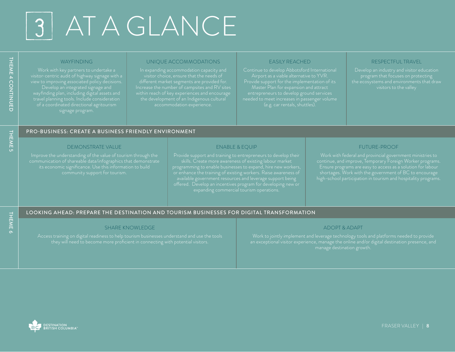### 3 AT A GLANCE

#### **WAYFINDING**

wayfinding plan, including digital assets and

#### UNIQUE ACCOMMODATIONS

visitor choice, ensure that the needs of

#### EASILY REACHED

Airport as a viable alternative to YVR. Provide support for the implementation of its Master Plan for expansion and attract

#### RESPECTFUL TRAVEL

#### PRO-BUSINESS: CREATE A BUSINESS FRIENDLY ENVIRONMENT

#### DEMONSTRATE VALUE

Improve the understanding of the value of tourism through the

#### ENABLE & EQUIP

Provide support and training to entrepreneurs to develop their

#### FUTURE-PROOF

high-school participation in tourism and hospitality programs.

THEME 4 CONTINUED

**THEME 4 CONTINUED** 

THEME<sub>5</sub>

#### LOOKING AHEAD: PREPARE THE DESTINATION AND TOURISM BUSINESSES FOR DIGITAL TRANSFORMATION

#### SHARE KNOWLEDGE

Access training on digital readiness to help tourism businesses understand and use the tools

#### ADOPT & ADAPT

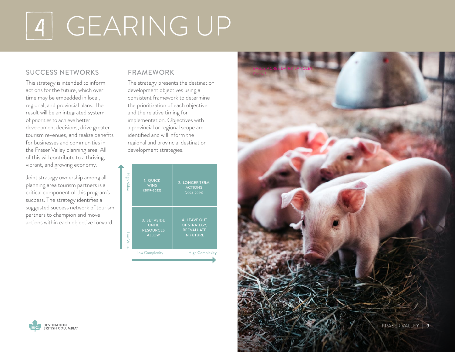### <sup>4</sup> GEARING UP

#### SUCCESS NETWORKS

This strategy is intended to inform actions for the future, which over time may be embedded in local, regional, and provincial plans. The result will be an integrated system of priorities to achieve better development decisions, drive greater tourism revenues, and realize benefits for businesses and communities in the Fraser Valley planning area. All of this will contribute to a thriving, vibrant, and growing economy.

Joint strategy ownership among all planning area tourism partners is a critical component of this program's success. The strategy identifies a suggested success network of tourism partners to champion and move actions within each objective forward.

#### FRAMEWORK

The strategy presents the destination development objectives using a consistent framework to determine the prioritization of each objective and the relative timing for implementation. Objectives with a provincial or regional scope are identified and will inform the regional and provincial destination development strategies.





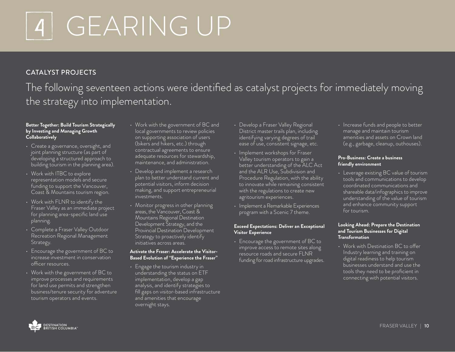## <sup>4</sup> GEARING UP

#### CATALYST PROJECTS

### The following seventeen actions were identified as catalyst projects for immediately moving the strategy into implementation.

#### **Better Together: Build Tourism Strategically by Investing and Managing Growth Collaboratively**

- Create a governance, oversight, and joint planning structure (as part of developing a structured approach to building tourism in the planning area).
- Work with ITBC to explore representation models and secure funding to support the Vancouver, Coast & Mountains tourism region.
- Work with FLNR to identify the Fraser Valley as an immediate project for planning area-specific land use planning.
- Complete a Fraser Valley Outdoor Recreation Regional Management Strategy.
- Encourage the government of BC to increase investment in conservation officer resources.
- Work with the government of BC to improve processes and requirements for land use permits and strengthen business/tenure security for adventure tourism operators and events.
- Work with the government of BC and local governments to review policies on supporting association of users (bikers and hikers, etc.) through contractual agreements to ensure adequate resources for stewardship, maintenance, and administration.
- Develop and implement a research plan to better understand current and potential visitors, inform decision making, and support entrepreneurial investments.
- Monitor progress in other planning areas, the Vancouver, Coast & Mountains Regional Destination Development Strategy, and the Provincial Destination Development Strategy to proactively identify initiatives across areas.

#### **Activate the Fraser: Accelerate the Visitor-Based Evolution of "Experience the Fraser"**

• Engage the tourism industry in understanding the status on ETF implementation, develop a gap analysis, and identify strategies to fill gaps on visitor-based infrastructure and amenities that encourage overnight stays.

- Develop a Fraser Valley Regional District master trails plan, including identifying varying degrees of trail ease of use, consistent signage, etc.
- Implement workshops for Fraser Valley tourism operators to gain a better understanding of the ALC Act and the ALR Use, Subdivision and Procedure Regulation, with the ability to innovate while remaining consistent with the regulations to create new agritourism experiences.
- Implement a Remarkable Experiences program with a Scenic 7 theme.

#### **Exceed Expectations: Deliver an Exceptional Visitor Experience**

• Encourage the government of BC to improve access to remote sites along resource roads and secure FLNR funding for road infrastructure upgrades. • Increase funds and people to better manage and maintain tourism amenities and assets on Crown land (e.g., garbage, cleanup, outhouses).

#### **Pro-Business: Create a business friendly environment**

• Leverage existing BC value of tourism tools and communications to develop coordinated communications and shareable data/infographics to improve understanding of the value of tourism and enhance community support for tourism.

#### **Looking Ahead: Prepare the Destination and Tourism Businesses for Digital Transformation**

• Work with Destination BC to offer Industry learning and training on digital readiness to help tourism businesses understand and use the tools they need to be proficient in connecting with potential visitors.